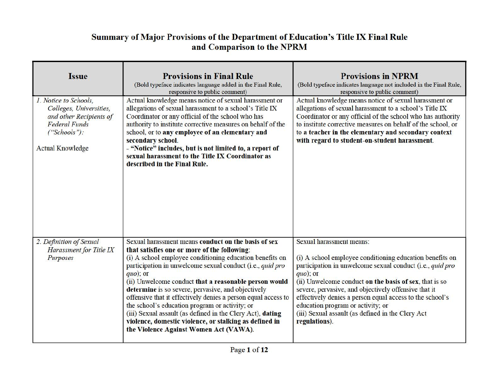| <b>Issue</b>                                                                                                                                   | <b>Provisions in Final Rule</b><br>(Bold typeface indicates language added in the Final Rule,<br>responsive to public comment)                                                                                                                                                                                                                                                                                                                                                                                                                                                                                                                  | <b>Provisions in NPRM</b><br>(Bold typeface indicates language not included in the Final Rule,<br>responsive to public comment)                                                                                                                                                                                                                                                                                                                                  |
|------------------------------------------------------------------------------------------------------------------------------------------------|-------------------------------------------------------------------------------------------------------------------------------------------------------------------------------------------------------------------------------------------------------------------------------------------------------------------------------------------------------------------------------------------------------------------------------------------------------------------------------------------------------------------------------------------------------------------------------------------------------------------------------------------------|------------------------------------------------------------------------------------------------------------------------------------------------------------------------------------------------------------------------------------------------------------------------------------------------------------------------------------------------------------------------------------------------------------------------------------------------------------------|
| 1. Notice to Schools,<br>Colleges, Universities,<br>and other Recipients of<br><b>Federal Funds</b><br>("Schools"):<br><b>Actual Knowledge</b> | Actual knowledge means notice of sexual harassment or<br>allegations of sexual harassment to a school's Title IX<br>Coordinator or any official of the school who has<br>authority to institute corrective measures on behalf of the<br>school, or to any employee of an elementary and<br>secondary school.<br>- "Notice" includes, but is not limited to, a report of<br>sexual harassment to the Title IX Coordinator as<br>described in the Final Rule.                                                                                                                                                                                     | Actual knowledge means notice of sexual harassment or<br>allegations of sexual harassment to a school's Title IX<br>Coordinator or any official of the school who has authority<br>to institute corrective measures on behalf of the school, or<br>to a teacher in the elementary and secondary context<br>with regard to student-on-student harassment.                                                                                                         |
| 2. Definition of Sexual<br>Harassment for Title IX<br>Purposes                                                                                 | Sexual harassment means conduct on the basis of sex<br>that satisfies one or more of the following:<br>(i) A school employee conditioning education benefits on<br>participation in unwelcome sexual conduct (i.e., quid pro<br>$quo)$ ; or<br>(ii) Unwelcome conduct that a reasonable person would<br>determine is so severe, pervasive, and objectively<br>offensive that it effectively denies a person equal access to<br>the school's education program or activity; or<br>(iii) Sexual assault (as defined in the Clery Act), dating<br>violence, domestic violence, or stalking as defined in<br>the Violence Against Women Act (VAWA). | <b>Sexual harassment means:</b><br>(i) A school employee conditioning education benefits on<br>participation in unwelcome sexual conduct (i.e., quid pro<br>$quo)$ ; or<br>(ii) Unwelcome conduct on the basis of sex, that is so<br>severe, pervasive, and objectively offensive that it<br>effectively denies a person equal access to the school's<br>education program or activity; or<br>(iii) Sexual assault (as defined in the Clery Act<br>regulations). |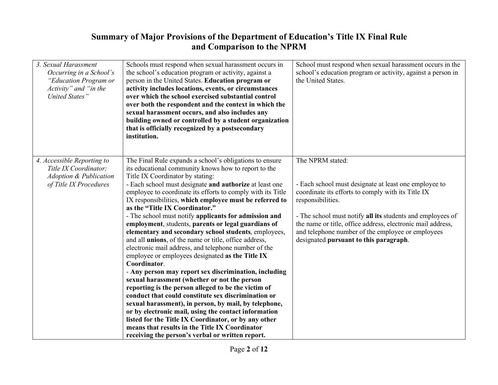| <b>Summary of Major Provisions of the Department of Education's Title IX Final Rule</b><br>and Comparison to the NPRM       |                                                                                                                                                                                                                                                                                                                                                                                                                                                                                                                                                                                                                                                                                                                                                                                                                                                                                                                                                                                                                                                                                                                                                                                                                                               |                                                                                                                                                                                                                                                                                                                                                                                  |
|-----------------------------------------------------------------------------------------------------------------------------|-----------------------------------------------------------------------------------------------------------------------------------------------------------------------------------------------------------------------------------------------------------------------------------------------------------------------------------------------------------------------------------------------------------------------------------------------------------------------------------------------------------------------------------------------------------------------------------------------------------------------------------------------------------------------------------------------------------------------------------------------------------------------------------------------------------------------------------------------------------------------------------------------------------------------------------------------------------------------------------------------------------------------------------------------------------------------------------------------------------------------------------------------------------------------------------------------------------------------------------------------|----------------------------------------------------------------------------------------------------------------------------------------------------------------------------------------------------------------------------------------------------------------------------------------------------------------------------------------------------------------------------------|
| 3. Sexual Harassment<br>Occurring in a School's<br>"Education Program or<br>Activity" and "in the<br><b>United States</b> " | Schools must respond when sexual harassment occurs in<br>the school's education program or activity, against a<br>person in the United States. Education program or<br>activity includes locations, events, or circumstances<br>over which the school exercised substantial control<br>over both the respondent and the context in which the<br>sexual harassment occurs, and also includes any<br>building owned or controlled by a student organization<br>that is officially recognized by a postsecondary<br>institution.                                                                                                                                                                                                                                                                                                                                                                                                                                                                                                                                                                                                                                                                                                                 | School must respond when sexual harassment occurs in the<br>school's education program or activity, against a person in<br>the United States.                                                                                                                                                                                                                                    |
| 4. Accessible Reporting to<br>Title IX Coordinator;<br><b>Adoption &amp; Publication</b><br>of Title IX Procedures          | The Final Rule expands a school's obligations to ensure<br>its educational community knows how to report to the<br>Title IX Coordinator by stating:<br>- Each school must designate and authorize at least one<br>employee to coordinate its efforts to comply with its Title<br>IX responsibilities, which employee must be referred to<br>as the "Title IX Coordinator."<br>- The school must notify applicants for admission and<br>employment, students, parents or legal guardians of<br>elementary and secondary school students, employees,<br>and all unions, of the name or title, office address,<br>electronic mail address, and telephone number of the<br>employee or employees designated as the Title IX<br>Coordinator.<br>- Any person may report sex discrimination, including<br>sexual harassment (whether or not the person<br>reporting is the person alleged to be the victim of<br>conduct that could constitute sex discrimination or<br>sexual harassment), in person, by mail, by telephone,<br>or by electronic mail, using the contact information<br>listed for the Title IX Coordinator, or by any other<br>means that results in the Title IX Coordinator<br>receiving the person's verbal or written report. | The NPRM stated:<br>- Each school must designate at least one employee to<br>coordinate its efforts to comply with its Title IX<br>responsibilities.<br>- The school must notify all its students and employees of<br>the name or title, office address, electronic mail address,<br>and telephone number of the employee or employees<br>designated pursuant to this paragraph. |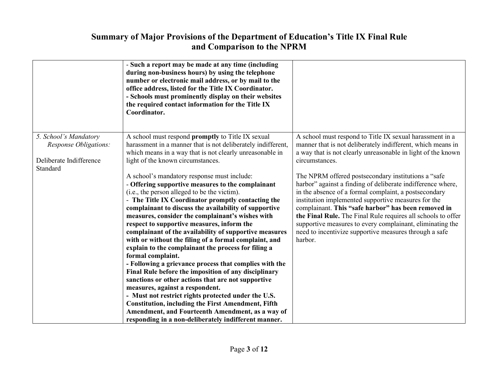## and Comparison to the NPRM

| <b>Summary of Major Provisions of the Department of Education's Title IX Final Rule</b><br>and Comparison to the NPRM |                                                                                                                                                                                                                                                                                                                                                                                                                                                                                                                                                                                                                                                                                                                                                                                                                                                                                                                                                                                                                                                                                                                                                                                                                                   |                                                                                                                                                                                                                                                                                                                                                                                                                                                                                                                                                                                                                                                                                                           |
|-----------------------------------------------------------------------------------------------------------------------|-----------------------------------------------------------------------------------------------------------------------------------------------------------------------------------------------------------------------------------------------------------------------------------------------------------------------------------------------------------------------------------------------------------------------------------------------------------------------------------------------------------------------------------------------------------------------------------------------------------------------------------------------------------------------------------------------------------------------------------------------------------------------------------------------------------------------------------------------------------------------------------------------------------------------------------------------------------------------------------------------------------------------------------------------------------------------------------------------------------------------------------------------------------------------------------------------------------------------------------|-----------------------------------------------------------------------------------------------------------------------------------------------------------------------------------------------------------------------------------------------------------------------------------------------------------------------------------------------------------------------------------------------------------------------------------------------------------------------------------------------------------------------------------------------------------------------------------------------------------------------------------------------------------------------------------------------------------|
|                                                                                                                       | - Such a report may be made at any time (including<br>during non-business hours) by using the telephone<br>number or electronic mail address, or by mail to the<br>office address, listed for the Title IX Coordinator.<br>- Schools must prominently display on their websites<br>the required contact information for the Title IX<br>Coordinator.                                                                                                                                                                                                                                                                                                                                                                                                                                                                                                                                                                                                                                                                                                                                                                                                                                                                              |                                                                                                                                                                                                                                                                                                                                                                                                                                                                                                                                                                                                                                                                                                           |
| 5. School's Mandatory<br><b>Response Obligations:</b><br>Deliberate Indifference<br>Standard                          | A school must respond promptly to Title IX sexual<br>harassment in a manner that is not deliberately indifferent,<br>which means in a way that is not clearly unreasonable in<br>light of the known circumstances.<br>A school's mandatory response must include:<br>- Offering supportive measures to the complainant<br>(i.e., the person alleged to be the victim).<br>- The Title IX Coordinator promptly contacting the<br>complainant to discuss the availability of supportive<br>measures, consider the complainant's wishes with<br>respect to supportive measures, inform the<br>complainant of the availability of supportive measures<br>with or without the filing of a formal complaint, and<br>explain to the complainant the process for filing a<br>formal complaint.<br>- Following a grievance process that complies with the<br>Final Rule before the imposition of any disciplinary<br>sanctions or other actions that are not supportive<br>measures, against a respondent.<br>- Must not restrict rights protected under the U.S.<br><b>Constitution, including the First Amendment, Fifth</b><br>Amendment, and Fourteenth Amendment, as a way of<br>responding in a non-deliberately indifferent manner. | A school must respond to Title IX sexual harassment in a<br>manner that is not deliberately indifferent, which means in<br>a way that is not clearly unreasonable in light of the known<br>circumstances.<br>The NPRM offered postsecondary institutions a "safe"<br>harbor" against a finding of deliberate indifference where,<br>in the absence of a formal complaint, a postsecondary<br>institution implemented supportive measures for the<br>complainant. This "safe harbor" has been removed in<br>the Final Rule. The Final Rule requires all schools to offer<br>supportive measures to every complainant, eliminating the<br>need to incentivize supportive measures through a safe<br>harbor. |
|                                                                                                                       | Page 3 of 12                                                                                                                                                                                                                                                                                                                                                                                                                                                                                                                                                                                                                                                                                                                                                                                                                                                                                                                                                                                                                                                                                                                                                                                                                      |                                                                                                                                                                                                                                                                                                                                                                                                                                                                                                                                                                                                                                                                                                           |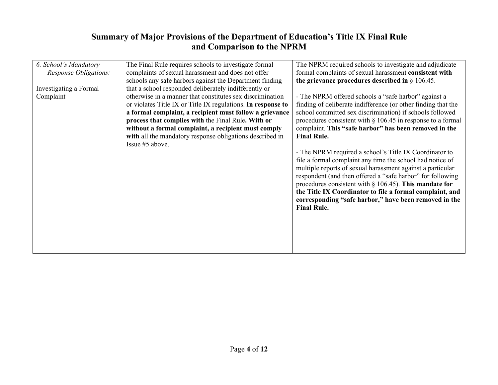| 6. School's Mandatory  | The Final Rule requires schools to investigate formal        | The NPRM required schools to investigate and adjudicate        |
|------------------------|--------------------------------------------------------------|----------------------------------------------------------------|
| Response Obligations:  | complaints of sexual harassment and does not offer           | formal complaints of sexual harassment consistent with         |
|                        | schools any safe harbors against the Department finding      | the grievance procedures described in $\S 106.45$ .            |
| Investigating a Formal | that a school responded deliberately indifferently or        |                                                                |
| Complaint              | otherwise in a manner that constitutes sex discrimination    | - The NPRM offered schools a "safe harbor" against a           |
|                        | or violates Title IX or Title IX regulations. In response to | finding of deliberate indifference (or other finding that the  |
|                        | a formal complaint, a recipient must follow a grievance      | school committed sex discrimination) if schools followed       |
|                        | process that complies with the Final Rule. With or           | procedures consistent with $\S$ 106.45 in response to a formal |
|                        | without a formal complaint, a recipient must comply          | complaint. This "safe harbor" has been removed in the          |
|                        | with all the mandatory response obligations described in     | <b>Final Rule.</b>                                             |
|                        | Issue #5 above.                                              |                                                                |
|                        |                                                              | - The NPRM required a school's Title IX Coordinator to         |
|                        |                                                              | file a formal complaint any time the school had notice of      |
|                        |                                                              | multiple reports of sexual harassment against a particular     |
|                        |                                                              | respondent (and then offered a "safe harbor" for following     |
|                        |                                                              | procedures consistent with $\S$ 106.45). This mandate for      |
|                        |                                                              | the Title IX Coordinator to file a formal complaint, and       |
|                        |                                                              | corresponding "safe harbor," have been removed in the          |
|                        |                                                              | <b>Final Rule.</b>                                             |
|                        |                                                              |                                                                |
|                        |                                                              |                                                                |
|                        |                                                              |                                                                |
|                        |                                                              |                                                                |
|                        |                                                              |                                                                |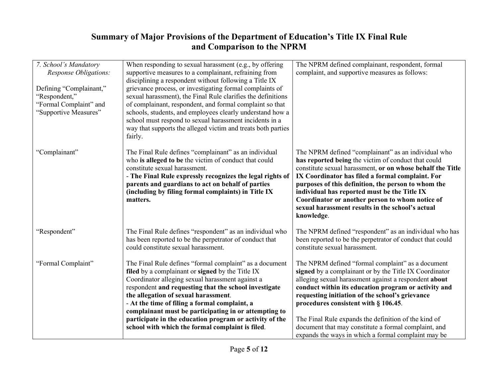| 7. School's Mandatory<br>Response Obligations: | When responding to sexual harassment (e.g., by offering<br>supportive measures to a complainant, refraining from | The NPRM defined complainant, respondent, formal<br>complaint, and supportive measures as follows:      |
|------------------------------------------------|------------------------------------------------------------------------------------------------------------------|---------------------------------------------------------------------------------------------------------|
|                                                | disciplining a respondent without following a Title IX                                                           |                                                                                                         |
| Defining "Complainant,"                        | grievance process, or investigating formal complaints of                                                         |                                                                                                         |
| "Respondent,"                                  | sexual harassment), the Final Rule clarifies the definitions                                                     |                                                                                                         |
| "Formal Complaint" and                         | of complainant, respondent, and formal complaint so that                                                         |                                                                                                         |
| "Supportive Measures"                          | schools, students, and employees clearly understand how a                                                        |                                                                                                         |
|                                                | school must respond to sexual harassment incidents in a                                                          |                                                                                                         |
|                                                | way that supports the alleged victim and treats both parties<br>fairly.                                          |                                                                                                         |
|                                                |                                                                                                                  |                                                                                                         |
| "Complainant"                                  | The Final Rule defines "complainant" as an individual                                                            | The NPRM defined "complainant" as an individual who                                                     |
|                                                | who is alleged to be the victim of conduct that could                                                            | has reported being the victim of conduct that could                                                     |
|                                                | constitute sexual harassment.                                                                                    | constitute sexual harassment, or on whose behalf the Title                                              |
|                                                | - The Final Rule expressly recognizes the legal rights of                                                        | IX Coordinator has filed a formal complaint. For                                                        |
|                                                | parents and guardians to act on behalf of parties<br>(including by filing formal complaints) in Title IX         | purposes of this definition, the person to whom the<br>individual has reported must be the Title IX     |
|                                                | matters.                                                                                                         | Coordinator or another person to whom notice of                                                         |
|                                                |                                                                                                                  | sexual harassment results in the school's actual                                                        |
|                                                |                                                                                                                  | knowledge.                                                                                              |
|                                                |                                                                                                                  |                                                                                                         |
| "Respondent"                                   | The Final Rule defines "respondent" as an individual who                                                         | The NPRM defined "respondent" as an individual who has                                                  |
|                                                | has been reported to be the perpetrator of conduct that                                                          | been reported to be the perpetrator of conduct that could                                               |
|                                                | could constitute sexual harassment.                                                                              | constitute sexual harassment.                                                                           |
|                                                |                                                                                                                  |                                                                                                         |
| "Formal Complaint"                             | The Final Rule defines "formal complaint" as a document                                                          | The NPRM defined "formal complaint" as a document                                                       |
|                                                | filed by a complainant or signed by the Title IX                                                                 | signed by a complainant or by the Title IX Coordinator                                                  |
|                                                | Coordinator alleging sexual harassment against a                                                                 | alleging sexual harassment against a respondent about                                                   |
|                                                | respondent and requesting that the school investigate<br>the allegation of sexual harassment.                    | conduct within its education program or activity and<br>requesting initiation of the school's grievance |
|                                                |                                                                                                                  |                                                                                                         |
|                                                | - At the time of filing a formal complaint, a<br>complainant must be participating in or attempting to           | procedures consistent with § 106.45.                                                                    |
|                                                | participate in the education program or activity of the                                                          | The Final Rule expands the definition of the kind of                                                    |
|                                                | school with which the formal complaint is filed.                                                                 | document that may constitute a formal complaint, and                                                    |
|                                                |                                                                                                                  | expands the ways in which a formal complaint may be                                                     |
|                                                |                                                                                                                  |                                                                                                         |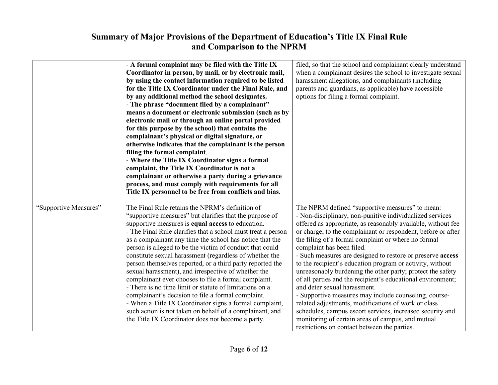| <b>Summary of Major Provisions of the Department of Education's Title IX Final Rule</b><br>and Comparison to the NPRM |                                                                                                                                                                                                                                                                                                                                                                                                                                                                                                                                                                                                                                                                                                                                                                                                                                                                                                                                     |                                                                                                                                                                                                                                                                                                                                                                                                                                                                                                                                                                                                                                                                                                                                                                                                                                                                                                           |
|-----------------------------------------------------------------------------------------------------------------------|-------------------------------------------------------------------------------------------------------------------------------------------------------------------------------------------------------------------------------------------------------------------------------------------------------------------------------------------------------------------------------------------------------------------------------------------------------------------------------------------------------------------------------------------------------------------------------------------------------------------------------------------------------------------------------------------------------------------------------------------------------------------------------------------------------------------------------------------------------------------------------------------------------------------------------------|-----------------------------------------------------------------------------------------------------------------------------------------------------------------------------------------------------------------------------------------------------------------------------------------------------------------------------------------------------------------------------------------------------------------------------------------------------------------------------------------------------------------------------------------------------------------------------------------------------------------------------------------------------------------------------------------------------------------------------------------------------------------------------------------------------------------------------------------------------------------------------------------------------------|
|                                                                                                                       | - A formal complaint may be filed with the Title IX<br>Coordinator in person, by mail, or by electronic mail,<br>by using the contact information required to be listed<br>for the Title IX Coordinator under the Final Rule, and<br>by any additional method the school designates.<br>- The phrase "document filed by a complainant"<br>means a document or electronic submission (such as by<br>electronic mail or through an online portal provided<br>for this purpose by the school) that contains the<br>complainant's physical or digital signature, or<br>otherwise indicates that the complainant is the person<br>filing the formal complaint.<br>- Where the Title IX Coordinator signs a formal<br>complaint, the Title IX Coordinator is not a<br>complainant or otherwise a party during a grievance<br>process, and must comply with requirements for all<br>Title IX personnel to be free from conflicts and bias. | filed, so that the school and complainant clearly understand<br>when a complainant desires the school to investigate sexual<br>harassment allegations, and complainants (including<br>parents and guardians, as applicable) have accessible<br>options for filing a formal complaint.                                                                                                                                                                                                                                                                                                                                                                                                                                                                                                                                                                                                                     |
| "Supportive Measures"                                                                                                 | The Final Rule retains the NPRM's definition of<br>"supportive measures" but clarifies that the purpose of<br>supportive measures is equal access to education.<br>- The Final Rule clarifies that a school must treat a person<br>as a complainant any time the school has notice that the<br>person is alleged to be the victim of conduct that could<br>constitute sexual harassment (regardless of whether the<br>person themselves reported, or a third party reported the<br>sexual harassment), and irrespective of whether the<br>complainant ever chooses to file a formal complaint.<br>- There is no time limit or statute of limitations on a<br>complainant's decision to file a formal complaint.<br>- When a Title IX Coordinator signs a formal complaint,<br>such action is not taken on behalf of a complainant, and<br>the Title IX Coordinator does not become a party.                                         | The NPRM defined "supportive measures" to mean:<br>- Non-disciplinary, non-punitive individualized services<br>offered as appropriate, as reasonably available, without fee<br>or charge, to the complainant or respondent, before or after<br>the filing of a formal complaint or where no formal<br>complaint has been filed.<br>- Such measures are designed to restore or preserve access<br>to the recipient's education program or activity, without<br>unreasonably burdening the other party; protect the safety<br>of all parties and the recipient's educational environment;<br>and deter sexual harassment.<br>- Supportive measures may include counseling, course-<br>related adjustments, modifications of work or class<br>schedules, campus escort services, increased security and<br>monitoring of certain areas of campus, and mutual<br>restrictions on contact between the parties. |
|                                                                                                                       | Page 6 of 12                                                                                                                                                                                                                                                                                                                                                                                                                                                                                                                                                                                                                                                                                                                                                                                                                                                                                                                        |                                                                                                                                                                                                                                                                                                                                                                                                                                                                                                                                                                                                                                                                                                                                                                                                                                                                                                           |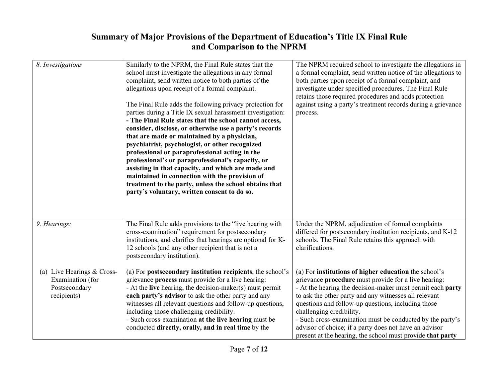# and Comparison to the NPRM

| <b>Summary of Major Provisions of the Department of Education's Title IX Final Rule</b><br>and Comparison to the NPRM |                                                                                                                                                                                                                                                                                                                                                                                                                                                                                                                                                                                                                                                                                                                                                                                                                                                                                                     |                                                                                                                                                                                                                                                                                                                                                                                                                                                                                                             |
|-----------------------------------------------------------------------------------------------------------------------|-----------------------------------------------------------------------------------------------------------------------------------------------------------------------------------------------------------------------------------------------------------------------------------------------------------------------------------------------------------------------------------------------------------------------------------------------------------------------------------------------------------------------------------------------------------------------------------------------------------------------------------------------------------------------------------------------------------------------------------------------------------------------------------------------------------------------------------------------------------------------------------------------------|-------------------------------------------------------------------------------------------------------------------------------------------------------------------------------------------------------------------------------------------------------------------------------------------------------------------------------------------------------------------------------------------------------------------------------------------------------------------------------------------------------------|
| 8. Investigations                                                                                                     | Similarly to the NPRM, the Final Rule states that the<br>school must investigate the allegations in any formal<br>complaint, send written notice to both parties of the<br>allegations upon receipt of a formal complaint.<br>The Final Rule adds the following privacy protection for<br>parties during a Title IX sexual harassment investigation:<br>- The Final Rule states that the school cannot access,<br>consider, disclose, or otherwise use a party's records<br>that are made or maintained by a physician,<br>psychiatrist, psychologist, or other recognized<br>professional or paraprofessional acting in the<br>professional's or paraprofessional's capacity, or<br>assisting in that capacity, and which are made and<br>maintained in connection with the provision of<br>treatment to the party, unless the school obtains that<br>party's voluntary, written consent to do so. | The NPRM required school to investigate the allegations in<br>a formal complaint, send written notice of the allegations to<br>both parties upon receipt of a formal complaint, and<br>investigate under specified procedures. The Final Rule<br>retains those required procedures and adds protection<br>against using a party's treatment records during a grievance<br>process.                                                                                                                          |
| 9. Hearings:                                                                                                          | The Final Rule adds provisions to the "live hearing with<br>cross-examination" requirement for postsecondary<br>institutions, and clarifies that hearings are optional for K-<br>12 schools (and any other recipient that is not a<br>postsecondary institution).                                                                                                                                                                                                                                                                                                                                                                                                                                                                                                                                                                                                                                   | Under the NPRM, adjudication of formal complaints<br>differed for postsecondary institution recipients, and K-12<br>schools. The Final Rule retains this approach with<br>clarifications.                                                                                                                                                                                                                                                                                                                   |
| (a) Live Hearings & Cross-<br>Examination (for<br>Postsecondary<br>recipients)                                        | (a) For postsecondary institution recipients, the school's<br>grievance process must provide for a live hearing:<br>- At the live hearing, the decision-maker(s) must permit<br>each party's advisor to ask the other party and any<br>witnesses all relevant questions and follow-up questions,<br>including those challenging credibility.<br>- Such cross-examination at the live hearing must be<br>conducted directly, orally, and in real time by the                                                                                                                                                                                                                                                                                                                                                                                                                                         | (a) For institutions of higher education the school's<br>grievance procedure must provide for a live hearing:<br>- At the hearing the decision-maker must permit each party<br>to ask the other party and any witnesses all relevant<br>questions and follow-up questions, including those<br>challenging credibility.<br>- Such cross-examination must be conducted by the party's<br>advisor of choice; if a party does not have an advisor<br>present at the hearing, the school must provide that party |
|                                                                                                                       | Page 7 of 12                                                                                                                                                                                                                                                                                                                                                                                                                                                                                                                                                                                                                                                                                                                                                                                                                                                                                        |                                                                                                                                                                                                                                                                                                                                                                                                                                                                                                             |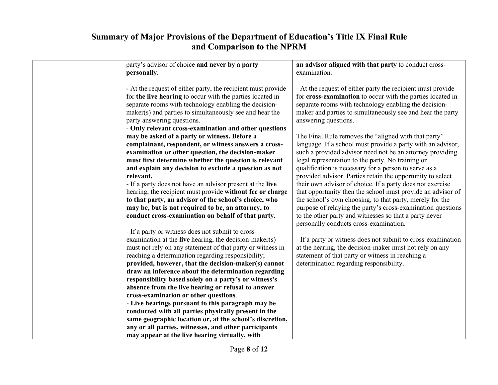| Summary of Major Provisions of the Department of Education's Title IX Final Rule<br>and Comparison to the NPRM                                                                                                                                                                                                                                                                                                                                                                                         |                                                                                                                                                                                                                                                                                                                                                                                                                       |  |
|--------------------------------------------------------------------------------------------------------------------------------------------------------------------------------------------------------------------------------------------------------------------------------------------------------------------------------------------------------------------------------------------------------------------------------------------------------------------------------------------------------|-----------------------------------------------------------------------------------------------------------------------------------------------------------------------------------------------------------------------------------------------------------------------------------------------------------------------------------------------------------------------------------------------------------------------|--|
| party's advisor of choice and never by a party<br>personally.                                                                                                                                                                                                                                                                                                                                                                                                                                          | an advisor aligned with that party to conduct cross-<br>examination.                                                                                                                                                                                                                                                                                                                                                  |  |
| - At the request of either party, the recipient must provide<br>for the live hearing to occur with the parties located in<br>separate rooms with technology enabling the decision-<br>maker(s) and parties to simultaneously see and hear the<br>party answering questions.<br>- Only relevant cross-examination and other questions                                                                                                                                                                   | - At the request of either party the recipient must provide<br>for cross-examination to occur with the parties located in<br>separate rooms with technology enabling the decision-<br>maker and parties to simultaneously see and hear the party<br>answering questions.                                                                                                                                              |  |
| may be asked of a party or witness. Before a<br>complainant, respondent, or witness answers a cross-<br>examination or other question, the decision-maker<br>must first determine whether the question is relevant<br>and explain any decision to exclude a question as not                                                                                                                                                                                                                            | The Final Rule removes the "aligned with that party"<br>language. If a school must provide a party with an advisor,<br>such a provided advisor need not be an attorney providing<br>legal representation to the party. No training or<br>qualification is necessary for a person to serve as a                                                                                                                        |  |
| relevant.<br>- If a party does not have an advisor present at the live<br>hearing, the recipient must provide without fee or charge<br>to that party, an advisor of the school's choice, who<br>may be, but is not required to be, an attorney, to<br>conduct cross-examination on behalf of that party.                                                                                                                                                                                               | provided advisor. Parties retain the opportunity to select<br>their own advisor of choice. If a party does not exercise<br>that opportunity then the school must provide an advisor of<br>the school's own choosing, to that party, merely for the<br>purpose of relaying the party's cross-examination questions<br>to the other party and witnesses so that a party never<br>personally conducts cross-examination. |  |
| - If a party or witness does not submit to cross-<br>examination at the live hearing, the decision-maker(s)<br>must not rely on any statement of that party or witness in<br>reaching a determination regarding responsibility;<br>provided, however, that the decision-maker(s) cannot<br>draw an inference about the determination regarding<br>responsibility based solely on a party's or witness's<br>absence from the live hearing or refusal to answer<br>cross-examination or other questions. | - If a party or witness does not submit to cross-examination<br>at the hearing, the decision-maker must not rely on any<br>statement of that party or witness in reaching a<br>determination regarding responsibility.                                                                                                                                                                                                |  |
| - Live hearings pursuant to this paragraph may be<br>conducted with all parties physically present in the<br>same geographic location or, at the school's discretion,<br>any or all parties, witnesses, and other participants<br>may appear at the live hearing virtually, with                                                                                                                                                                                                                       |                                                                                                                                                                                                                                                                                                                                                                                                                       |  |
| Page 8 of 12                                                                                                                                                                                                                                                                                                                                                                                                                                                                                           |                                                                                                                                                                                                                                                                                                                                                                                                                       |  |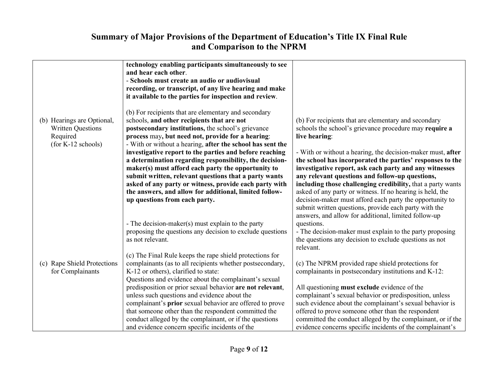| <b>Summary of Major Provisions of the Department of Education's Title IX Final Rule</b>  |                                                                                                                                                                                                                                                                                                                                                                                                                                                         |                                                                                                                                                                                                                                                                                                                                                                                                                               |  |
|------------------------------------------------------------------------------------------|---------------------------------------------------------------------------------------------------------------------------------------------------------------------------------------------------------------------------------------------------------------------------------------------------------------------------------------------------------------------------------------------------------------------------------------------------------|-------------------------------------------------------------------------------------------------------------------------------------------------------------------------------------------------------------------------------------------------------------------------------------------------------------------------------------------------------------------------------------------------------------------------------|--|
| and Comparison to the NPRM                                                               |                                                                                                                                                                                                                                                                                                                                                                                                                                                         |                                                                                                                                                                                                                                                                                                                                                                                                                               |  |
|                                                                                          | technology enabling participants simultaneously to see<br>and hear each other.<br>- Schools must create an audio or audiovisual<br>recording, or transcript, of any live hearing and make<br>it available to the parties for inspection and review.                                                                                                                                                                                                     |                                                                                                                                                                                                                                                                                                                                                                                                                               |  |
| (b) Hearings are Optional,<br><b>Written Questions</b><br>Required<br>(for K-12 schools) | (b) For recipients that are elementary and secondary<br>schools, and other recipients that are not<br>postsecondary institutions, the school's grievance<br>process may, but need not, provide for a hearing:<br>- With or without a hearing, after the school has sent the                                                                                                                                                                             | (b) For recipients that are elementary and secondary<br>schools the school's grievance procedure may require a<br>live hearing:                                                                                                                                                                                                                                                                                               |  |
|                                                                                          | investigative report to the parties and before reaching<br>a determination regarding responsibility, the decision-<br>maker(s) must afford each party the opportunity to<br>submit written, relevant questions that a party wants<br>asked of any party or witness, provide each party with<br>the answers, and allow for additional, limited follow-<br>up questions from each party.                                                                  | - With or without a hearing, the decision-maker must, after<br>the school has incorporated the parties' responses to the<br>investigative report, ask each party and any witnesses<br>any relevant questions and follow-up questions,<br>including those challenging credibility, that a party wants<br>asked of any party or witness. If no hearing is held, the<br>decision-maker must afford each party the opportunity to |  |
|                                                                                          | - The decision-maker(s) must explain to the party<br>proposing the questions any decision to exclude questions<br>as not relevant.                                                                                                                                                                                                                                                                                                                      | submit written questions, provide each party with the<br>answers, and allow for additional, limited follow-up<br>questions.<br>- The decision-maker must explain to the party proposing<br>the questions any decision to exclude questions as not<br>relevant.                                                                                                                                                                |  |
| (c) Rape Shield Protections<br>for Complainants                                          | (c) The Final Rule keeps the rape shield protections for<br>complainants (as to all recipients whether postsecondary,<br>K-12 or others), clarified to state:<br>Questions and evidence about the complainant's sexual<br>predisposition or prior sexual behavior are not relevant,<br>unless such questions and evidence about the<br>complainant's prior sexual behavior are offered to prove<br>that someone other than the respondent committed the | (c) The NPRM provided rape shield protections for<br>complainants in postsecondary institutions and K-12:<br>All questioning must exclude evidence of the<br>complainant's sexual behavior or predisposition, unless<br>such evidence about the complainant's sexual behavior is<br>offered to prove someone other than the respondent                                                                                        |  |
|                                                                                          | conduct alleged by the complainant, or if the questions<br>and evidence concern specific incidents of the                                                                                                                                                                                                                                                                                                                                               | committed the conduct alleged by the complainant, or if the<br>evidence concerns specific incidents of the complainant's                                                                                                                                                                                                                                                                                                      |  |
|                                                                                          | Page 9 of 12                                                                                                                                                                                                                                                                                                                                                                                                                                            |                                                                                                                                                                                                                                                                                                                                                                                                                               |  |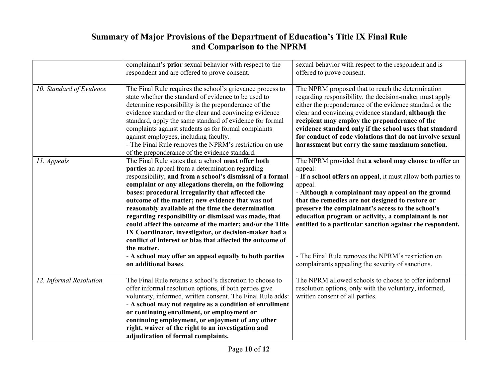# and Comparison to the NPRM

| Summary of Major Provisions of the Department of Education's Title IX Final Rule<br>and Comparison to the NPRM |                                                                                                                                                                                                                                                                                                                                                                                                                                                                                                                                                                                                                                                       |                                                                                                                                                                                                                                                                                                                                                                                                                                                              |
|----------------------------------------------------------------------------------------------------------------|-------------------------------------------------------------------------------------------------------------------------------------------------------------------------------------------------------------------------------------------------------------------------------------------------------------------------------------------------------------------------------------------------------------------------------------------------------------------------------------------------------------------------------------------------------------------------------------------------------------------------------------------------------|--------------------------------------------------------------------------------------------------------------------------------------------------------------------------------------------------------------------------------------------------------------------------------------------------------------------------------------------------------------------------------------------------------------------------------------------------------------|
|                                                                                                                | complainant's prior sexual behavior with respect to the<br>respondent and are offered to prove consent.                                                                                                                                                                                                                                                                                                                                                                                                                                                                                                                                               | sexual behavior with respect to the respondent and is<br>offered to prove consent.                                                                                                                                                                                                                                                                                                                                                                           |
| 10. Standard of Evidence                                                                                       | The Final Rule requires the school's grievance process to<br>state whether the standard of evidence to be used to<br>determine responsibility is the preponderance of the<br>evidence standard or the clear and convincing evidence<br>standard, apply the same standard of evidence for formal<br>complaints against students as for formal complaints<br>against employees, including faculty.<br>- The Final Rule removes the NPRM's restriction on use<br>of the preponderance of the evidence standard.                                                                                                                                          | The NPRM proposed that to reach the determination<br>regarding responsibility, the decision-maker must apply<br>either the preponderance of the evidence standard or the<br>clear and convincing evidence standard, although the<br>recipient may employ the preponderance of the<br>evidence standard only if the school uses that standard<br>for conduct of code violations that do not involve sexual<br>harassment but carry the same maximum sanction. |
| 11. Appeals                                                                                                    | The Final Rule states that a school must offer both<br>parties an appeal from a determination regarding<br>responsibility, and from a school's dismissal of a formal<br>complaint or any allegations therein, on the following<br>bases: procedural irregularity that affected the<br>outcome of the matter; new evidence that was not<br>reasonably available at the time the determination<br>regarding responsibility or dismissal was made, that<br>could affect the outcome of the matter; and/or the Title<br>IX Coordinator, investigator, or decision-maker had a<br>conflict of interest or bias that affected the outcome of<br>the matter. | The NPRM provided that a school may choose to offer an<br>appeal:<br>- If a school offers an appeal, it must allow both parties to<br>appeal.<br>- Although a complainant may appeal on the ground<br>that the remedies are not designed to restore or<br>preserve the complainant's access to the school's<br>education program or activity, a complainant is not<br>entitled to a particular sanction against the respondent.                              |
|                                                                                                                | - A school may offer an appeal equally to both parties<br>on additional bases.                                                                                                                                                                                                                                                                                                                                                                                                                                                                                                                                                                        | - The Final Rule removes the NPRM's restriction on<br>complainants appealing the severity of sanctions.                                                                                                                                                                                                                                                                                                                                                      |
| 12. Informal Resolution                                                                                        | The Final Rule retains a school's discretion to choose to<br>offer informal resolution options, if both parties give<br>voluntary, informed, written consent. The Final Rule adds:<br>- A school may not require as a condition of enrollment<br>or continuing enrollment, or employment or<br>continuing employment, or enjoyment of any other<br>right, waiver of the right to an investigation and<br>adjudication of formal complaints.                                                                                                                                                                                                           | The NPRM allowed schools to choose to offer informal<br>resolution options, only with the voluntary, informed,<br>written consent of all parties.                                                                                                                                                                                                                                                                                                            |
|                                                                                                                | Page 10 of 12                                                                                                                                                                                                                                                                                                                                                                                                                                                                                                                                                                                                                                         |                                                                                                                                                                                                                                                                                                                                                                                                                                                              |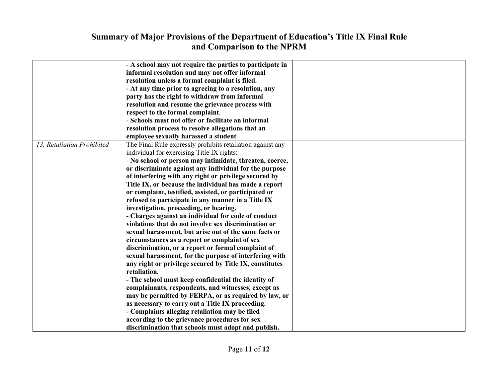### of Major Provisions of the Depart<br>and Comparison<br>A school may not require the parties to part and Comparison to the NPRM

| <b>Summary of Major Provisions of the Department of Education's Title IX Final Rule</b> |                                                            |  |
|-----------------------------------------------------------------------------------------|------------------------------------------------------------|--|
| and Comparison to the NPRM                                                              |                                                            |  |
|                                                                                         |                                                            |  |
|                                                                                         | - A school may not require the parties to participate in   |  |
|                                                                                         | informal resolution and may not offer informal             |  |
|                                                                                         | resolution unless a formal complaint is filed.             |  |
|                                                                                         | - At any time prior to agreeing to a resolution, any       |  |
|                                                                                         | party has the right to withdraw from informal              |  |
|                                                                                         | resolution and resume the grievance process with           |  |
|                                                                                         | respect to the formal complaint.                           |  |
|                                                                                         | - Schools must not offer or facilitate an informal         |  |
|                                                                                         | resolution process to resolve allegations that an          |  |
|                                                                                         | employee sexually harassed a student.                      |  |
| 13. Retaliation Prohibited                                                              | The Final Rule expressly prohibits retaliation against any |  |
|                                                                                         | individual for exercising Title IX rights:                 |  |
|                                                                                         | - No school or person may intimidate, threaten, coerce,    |  |
|                                                                                         | or discriminate against any individual for the purpose     |  |
|                                                                                         | of interfering with any right or privilege secured by      |  |
|                                                                                         | Title IX, or because the individual has made a report      |  |
|                                                                                         | or complaint, testified, assisted, or participated or      |  |
|                                                                                         | refused to participate in any manner in a Title IX         |  |
|                                                                                         | investigation, proceeding, or hearing.                     |  |
|                                                                                         | - Charges against an individual for code of conduct        |  |
|                                                                                         | violations that do not involve sex discrimination or       |  |
|                                                                                         | sexual harassment, but arise out of the same facts or      |  |
|                                                                                         | circumstances as a report or complaint of sex              |  |
|                                                                                         | discrimination, or a report or formal complaint of         |  |
|                                                                                         | sexual harassment, for the purpose of interfering with     |  |
|                                                                                         | any right or privilege secured by Title IX, constitutes    |  |
|                                                                                         | retaliation.                                               |  |
|                                                                                         | - The school must keep confidential the identity of        |  |
|                                                                                         | complainants, respondents, and witnesses, except as        |  |
|                                                                                         | may be permitted by FERPA, or as required by law, or       |  |
|                                                                                         | as necessary to carry out a Title IX proceeding.           |  |
|                                                                                         | - Complaints alleging retaliation may be filed             |  |
|                                                                                         | according to the grievance procedures for sex              |  |
|                                                                                         | discrimination that schools must adopt and publish.        |  |
|                                                                                         |                                                            |  |
|                                                                                         |                                                            |  |
|                                                                                         | Page 11 of 12                                              |  |